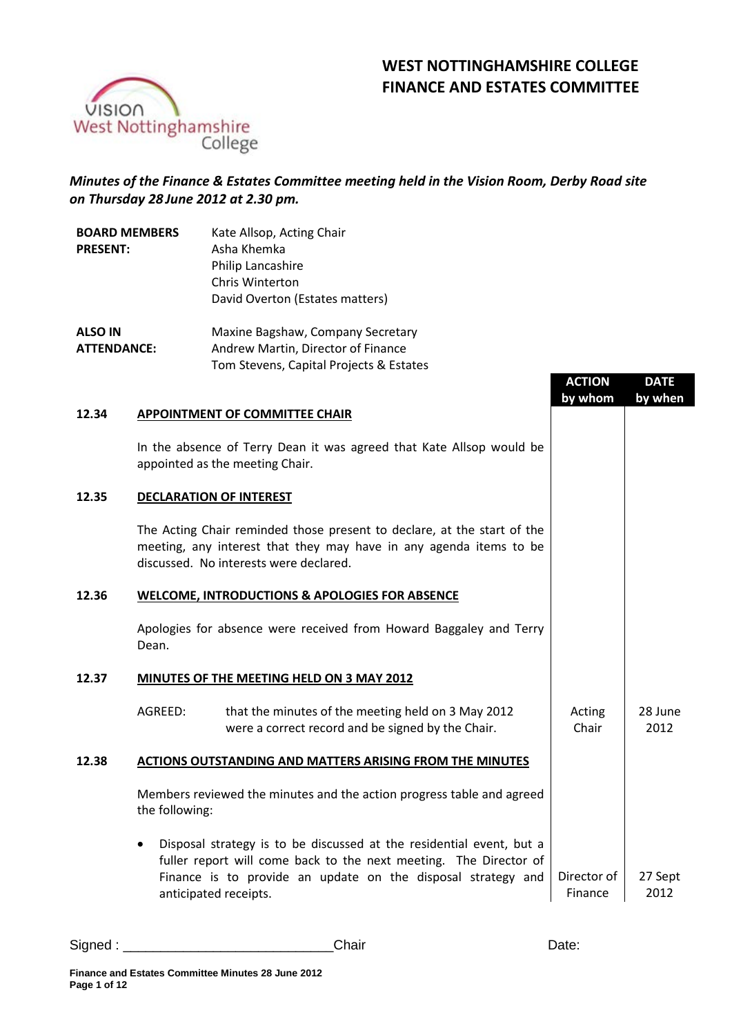# **WEST NOTTINGHAMSHIRE COLLEGE FINANCE AND ESTATES COMMITTEE**

**ACTION**

**DATE**



# *Minutes of the Finance & Estates Committee meeting held in the Vision Room, Derby Road site on Thursday 28 June 2012 at 2.30 pm.*

| <b>BOARD MEMBERS</b> | Kate Allsop, Acting Chair          |
|----------------------|------------------------------------|
| <b>PRESENT:</b>      | Asha Khemka                        |
|                      | Philip Lancashire                  |
|                      | Chris Winterton                    |
|                      | David Overton (Estates matters)    |
| <b>ALSO IN</b>       | Maxine Bagshaw, Company Secretary  |
| <b>ATTENDANCE:</b>   | Andrew Martin, Director of Finance |

Tom Stevens, Capital Projects & Estates

|       |                                    |                                                                                                                                                                                                           | <b>ACTION</b><br>by whom | <u>UAIL</u><br>by when |
|-------|------------------------------------|-----------------------------------------------------------------------------------------------------------------------------------------------------------------------------------------------------------|--------------------------|------------------------|
| 12.34 |                                    | <b>APPOINTMENT OF COMMITTEE CHAIR</b>                                                                                                                                                                     |                          |                        |
|       | appointed as the meeting Chair.    | In the absence of Terry Dean it was agreed that Kate Allsop would be                                                                                                                                      |                          |                        |
| 12.35 | <b>DECLARATION OF INTEREST</b>     |                                                                                                                                                                                                           |                          |                        |
|       |                                    | The Acting Chair reminded those present to declare, at the start of the<br>meeting, any interest that they may have in any agenda items to be<br>discussed. No interests were declared.                   |                          |                        |
| 12.36 |                                    | <b>WELCOME, INTRODUCTIONS &amp; APOLOGIES FOR ABSENCE</b>                                                                                                                                                 |                          |                        |
|       | Dean.                              | Apologies for absence were received from Howard Baggaley and Terry                                                                                                                                        |                          |                        |
| 12.37 |                                    | MINUTES OF THE MEETING HELD ON 3 MAY 2012                                                                                                                                                                 |                          |                        |
|       | AGREED:                            | that the minutes of the meeting held on 3 May 2012<br>were a correct record and be signed by the Chair.                                                                                                   | Acting<br>Chair          | 28 June<br>2012        |
| 12.38 |                                    | <b>ACTIONS OUTSTANDING AND MATTERS ARISING FROM THE MINUTES</b>                                                                                                                                           |                          |                        |
|       | the following:                     | Members reviewed the minutes and the action progress table and agreed                                                                                                                                     |                          |                        |
|       | $\bullet$<br>anticipated receipts. | Disposal strategy is to be discussed at the residential event, but a<br>fuller report will come back to the next meeting. The Director of<br>Finance is to provide an update on the disposal strategy and | Director of<br>Finance   | 27 Sept<br>2012        |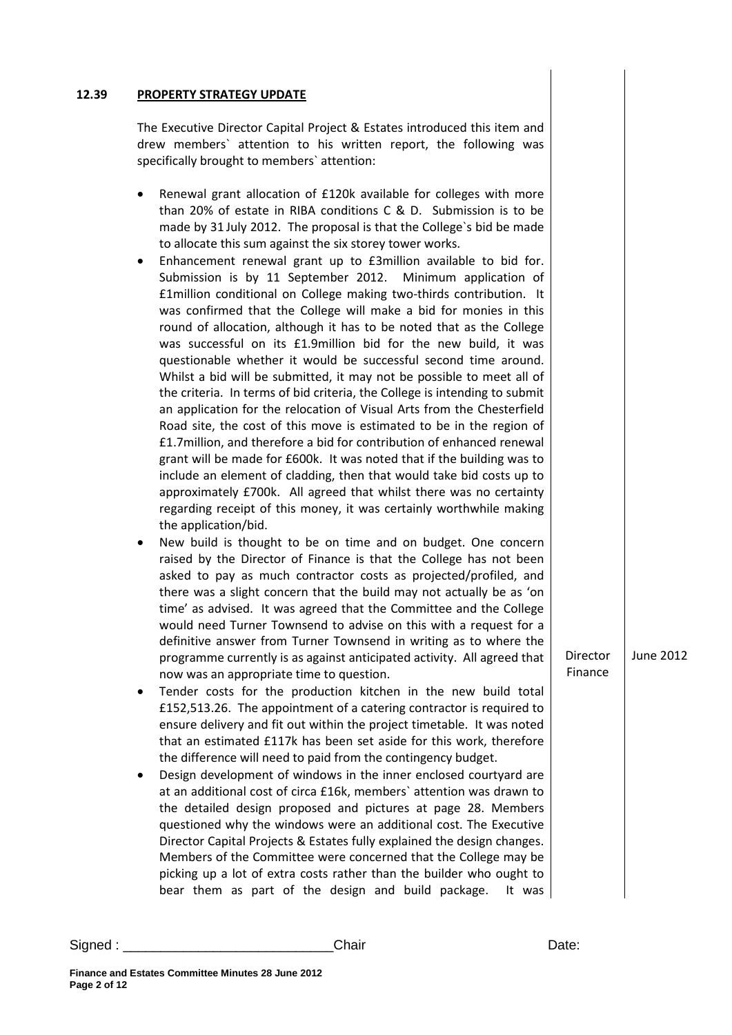#### **12.39 PROPERTY STRATEGY UPDATE**

The Executive Director Capital Project & Estates introduced this item and drew members` attention to his written report, the following was specifically brought to members` attention:

- Renewal grant allocation of £120k available for colleges with more than 20% of estate in RIBA conditions C & D. Submission is to be made by 31 July 2012. The proposal is that the College`s bid be made to allocate this sum against the six storey tower works.
- Enhancement renewal grant up to £3million available to bid for. Submission is by 11 September 2012. Minimum application of £1million conditional on College making two-thirds contribution. It was confirmed that the College will make a bid for monies in this round of allocation, although it has to be noted that as the College was successful on its £1.9million bid for the new build, it was questionable whether it would be successful second time around. Whilst a bid will be submitted, it may not be possible to meet all of the criteria. In terms of bid criteria, the College is intending to submit an application for the relocation of Visual Arts from the Chesterfield Road site, the cost of this move is estimated to be in the region of £1.7million, and therefore a bid for contribution of enhanced renewal grant will be made for £600k. It was noted that if the building was to include an element of cladding, then that would take bid costs up to approximately £700k. All agreed that whilst there was no certainty regarding receipt of this money, it was certainly worthwhile making the application/bid.
- New build is thought to be on time and on budget. One concern raised by the Director of Finance is that the College has not been asked to pay as much contractor costs as projected/profiled, and there was a slight concern that the build may not actually be as 'on time' as advised. It was agreed that the Committee and the College would need Turner Townsend to advise on this with a request for a definitive answer from Turner Townsend in writing as to where the programme currently is as against anticipated activity. All agreed that now was an appropriate time to question.
- Tender costs for the production kitchen in the new build total £152,513.26. The appointment of a catering contractor is required to ensure delivery and fit out within the project timetable. It was noted that an estimated £117k has been set aside for this work, therefore the difference will need to paid from the contingency budget.
- Design development of windows in the inner enclosed courtyard are at an additional cost of circa £16k, members` attention was drawn to the detailed design proposed and pictures at page 28. Members questioned why the windows were an additional cost. The Executive Director Capital Projects & Estates fully explained the design changes. Members of the Committee were concerned that the College may be picking up a lot of extra costs rather than the builder who ought to bear them as part of the design and build package. It was

Director Finance June 2012

#### Signed : \_\_\_\_\_\_\_\_\_\_\_\_\_\_\_\_\_\_\_\_\_\_\_\_\_\_\_\_Chair Date: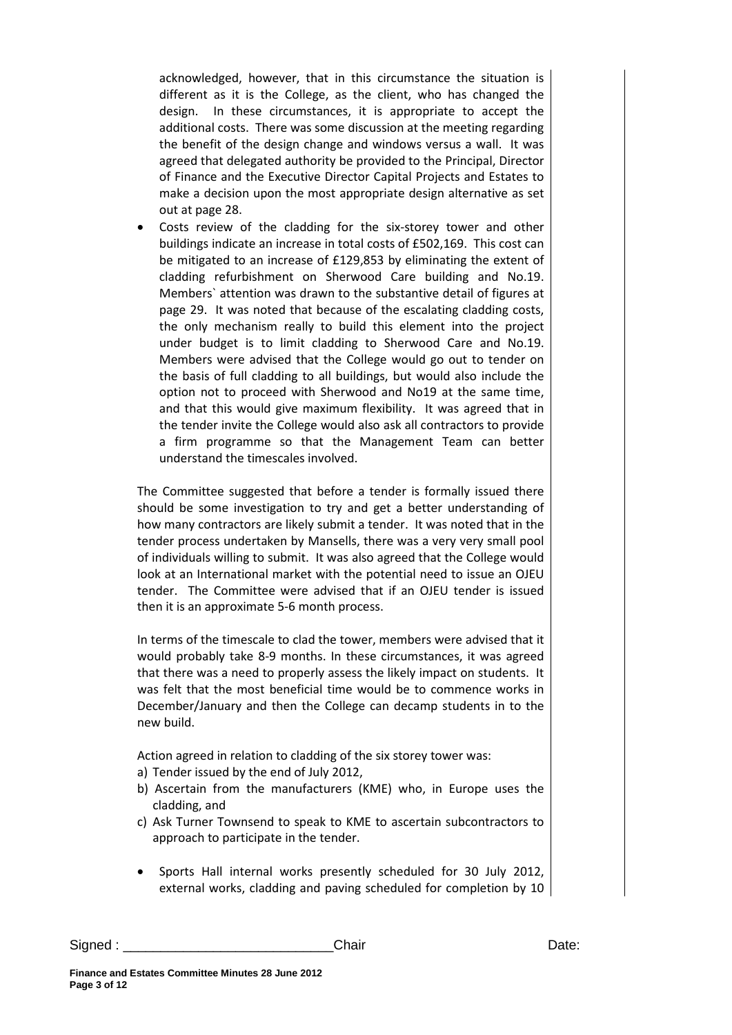acknowledged, however, that in this circumstance the situation is different as it is the College, as the client, who has changed the design. In these circumstances, it is appropriate to accept the additional costs. There was some discussion at the meeting regarding the benefit of the design change and windows versus a wall. It was agreed that delegated authority be provided to the Principal, Director of Finance and the Executive Director Capital Projects and Estates to make a decision upon the most appropriate design alternative as set out at page 28.

Costs review of the cladding for the six-storey tower and other buildings indicate an increase in total costs of £502,169. This cost can be mitigated to an increase of £129,853 by eliminating the extent of cladding refurbishment on Sherwood Care building and No.19. Members` attention was drawn to the substantive detail of figures at page 29. It was noted that because of the escalating cladding costs, the only mechanism really to build this element into the project under budget is to limit cladding to Sherwood Care and No.19. Members were advised that the College would go out to tender on the basis of full cladding to all buildings, but would also include the option not to proceed with Sherwood and No19 at the same time, and that this would give maximum flexibility. It was agreed that in the tender invite the College would also ask all contractors to provide a firm programme so that the Management Team can better understand the timescales involved.

The Committee suggested that before a tender is formally issued there should be some investigation to try and get a better understanding of how many contractors are likely submit a tender. It was noted that in the tender process undertaken by Mansells, there was a very very small pool of individuals willing to submit. It was also agreed that the College would look at an International market with the potential need to issue an OJEU tender. The Committee were advised that if an OJEU tender is issued then it is an approximate 5-6 month process.

In terms of the timescale to clad the tower, members were advised that it would probably take 8-9 months. In these circumstances, it was agreed that there was a need to properly assess the likely impact on students. It was felt that the most beneficial time would be to commence works in December/January and then the College can decamp students in to the new build.

Action agreed in relation to cladding of the six storey tower was:

- a) Tender issued by the end of July 2012,
- b) Ascertain from the manufacturers (KME) who, in Europe uses the cladding, and
- c) Ask Turner Townsend to speak to KME to ascertain subcontractors to approach to participate in the tender.
- Sports Hall internal works presently scheduled for 30 July 2012, external works, cladding and paving scheduled for completion by 10

```
Signed : ____________________________Chair Date:
```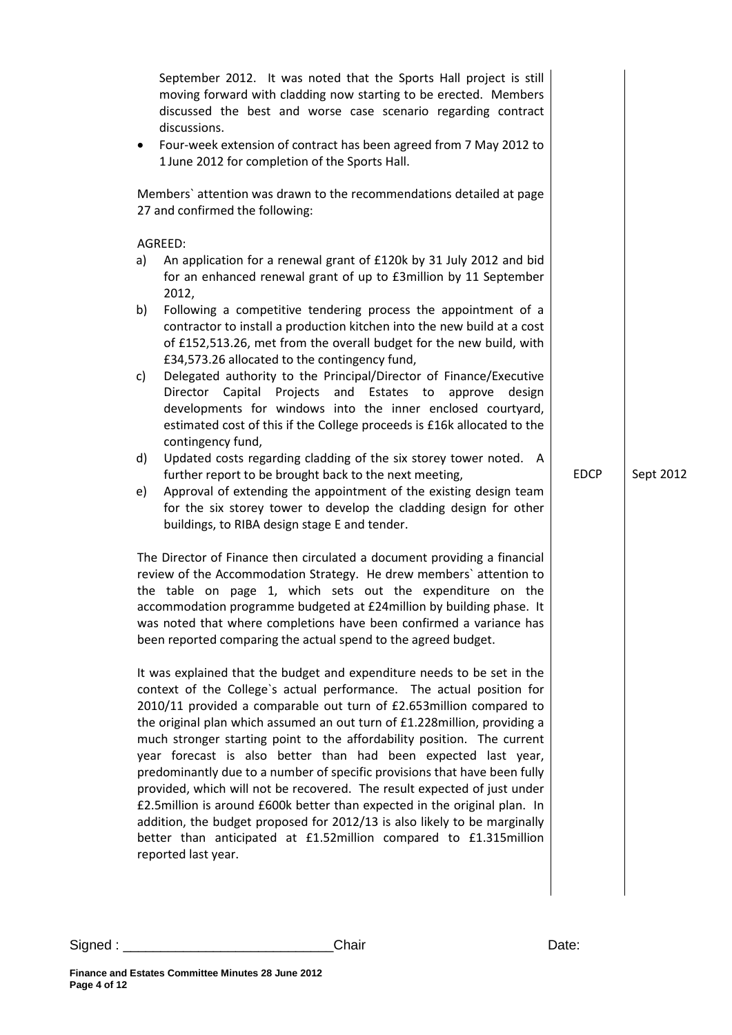|    | September 2012. It was noted that the Sports Hall project is still<br>moving forward with cladding now starting to be erected. Members<br>discussed the best and worse case scenario regarding contract<br>discussions.                                                                                                                                                                                                                                                                                                                                                                                   |             |           |
|----|-----------------------------------------------------------------------------------------------------------------------------------------------------------------------------------------------------------------------------------------------------------------------------------------------------------------------------------------------------------------------------------------------------------------------------------------------------------------------------------------------------------------------------------------------------------------------------------------------------------|-------------|-----------|
| ٠  | Four-week extension of contract has been agreed from 7 May 2012 to<br>1 June 2012 for completion of the Sports Hall.                                                                                                                                                                                                                                                                                                                                                                                                                                                                                      |             |           |
|    | Members' attention was drawn to the recommendations detailed at page<br>27 and confirmed the following:                                                                                                                                                                                                                                                                                                                                                                                                                                                                                                   |             |           |
|    | AGREED:                                                                                                                                                                                                                                                                                                                                                                                                                                                                                                                                                                                                   |             |           |
| a) | An application for a renewal grant of £120k by 31 July 2012 and bid<br>for an enhanced renewal grant of up to £3million by 11 September<br>2012,                                                                                                                                                                                                                                                                                                                                                                                                                                                          |             |           |
| b) | Following a competitive tendering process the appointment of a<br>contractor to install a production kitchen into the new build at a cost<br>of £152,513.26, met from the overall budget for the new build, with<br>£34,573.26 allocated to the contingency fund,                                                                                                                                                                                                                                                                                                                                         |             |           |
| c) | Delegated authority to the Principal/Director of Finance/Executive<br>Director<br>Capital<br>Projects and<br>Estates to<br>approve<br>design<br>developments for windows into the inner enclosed courtyard,<br>estimated cost of this if the College proceeds is £16k allocated to the<br>contingency fund,                                                                                                                                                                                                                                                                                               |             |           |
| d) | Updated costs regarding cladding of the six storey tower noted. A<br>further report to be brought back to the next meeting,                                                                                                                                                                                                                                                                                                                                                                                                                                                                               | <b>EDCP</b> | Sept 2012 |
| e) | Approval of extending the appointment of the existing design team<br>for the six storey tower to develop the cladding design for other<br>buildings, to RIBA design stage E and tender.                                                                                                                                                                                                                                                                                                                                                                                                                   |             |           |
|    | The Director of Finance then circulated a document providing a financial<br>review of the Accommodation Strategy. He drew members' attention to<br>the table on page 1, which sets out the expenditure on the<br>accommodation programme budgeted at £24 million by building phase. It<br>was noted that where completions have been confirmed a variance has<br>been reported comparing the actual spend to the agreed budget.                                                                                                                                                                           |             |           |
|    | It was explained that the budget and expenditure needs to be set in the<br>context of the College's actual performance. The actual position for<br>2010/11 provided a comparable out turn of £2.653million compared to<br>the original plan which assumed an out turn of £1.228million, providing a<br>much stronger starting point to the affordability position. The current<br>year forecast is also better than had been expected last year,<br>predominantly due to a number of specific provisions that have been fully<br>provided, which will not be recovered. The result expected of just under |             |           |
|    | £2.5million is around £600k better than expected in the original plan. In<br>addition, the budget proposed for 2012/13 is also likely to be marginally<br>better than anticipated at £1.52million compared to £1.315million<br>reported last year.                                                                                                                                                                                                                                                                                                                                                        |             |           |
|    |                                                                                                                                                                                                                                                                                                                                                                                                                                                                                                                                                                                                           |             |           |

Signed : \_\_\_\_\_\_\_\_\_\_\_\_\_\_\_\_\_\_\_\_\_\_\_\_\_\_\_\_Chair Date: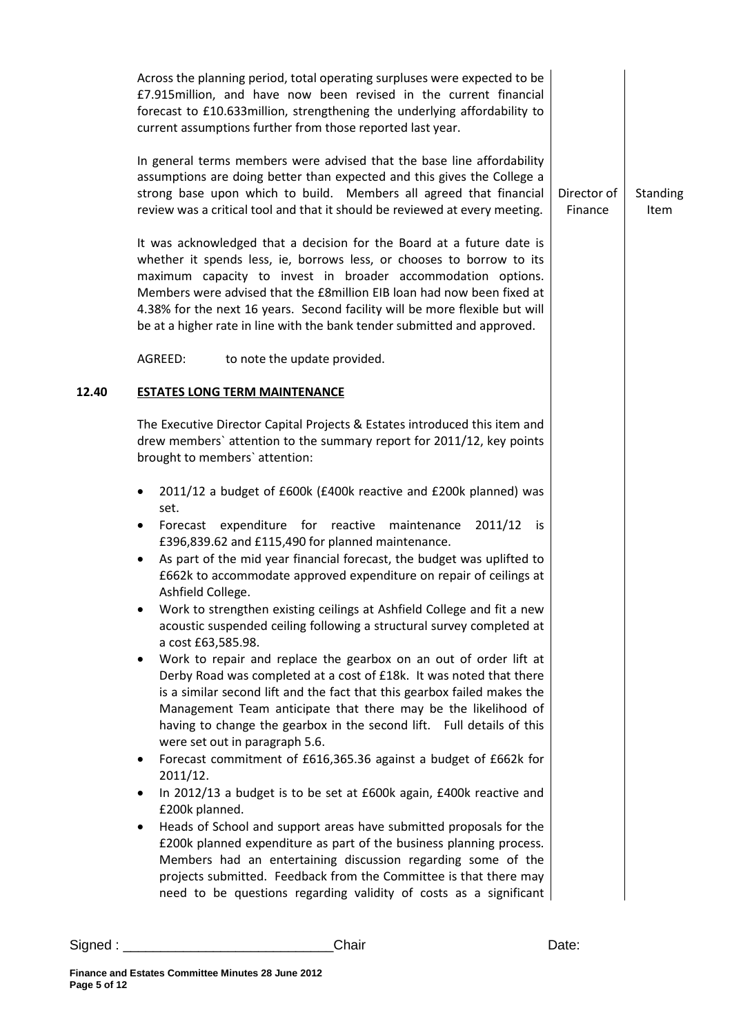|       | Across the planning period, total operating surpluses were expected to be<br>£7.915million, and have now been revised in the current financial<br>forecast to £10.633 million, strengthening the underlying affordability to<br>current assumptions further from those reported last year.                                                                                                                                                                                                                                                                                                                                                                                                                                                                                                                                                                                                                                                                                                                                                                                                                                                                                                                                                                                                                                                                                                                                                                                                                                                  |                        |                         |
|-------|---------------------------------------------------------------------------------------------------------------------------------------------------------------------------------------------------------------------------------------------------------------------------------------------------------------------------------------------------------------------------------------------------------------------------------------------------------------------------------------------------------------------------------------------------------------------------------------------------------------------------------------------------------------------------------------------------------------------------------------------------------------------------------------------------------------------------------------------------------------------------------------------------------------------------------------------------------------------------------------------------------------------------------------------------------------------------------------------------------------------------------------------------------------------------------------------------------------------------------------------------------------------------------------------------------------------------------------------------------------------------------------------------------------------------------------------------------------------------------------------------------------------------------------------|------------------------|-------------------------|
|       | In general terms members were advised that the base line affordability<br>assumptions are doing better than expected and this gives the College a<br>strong base upon which to build. Members all agreed that financial<br>review was a critical tool and that it should be reviewed at every meeting.                                                                                                                                                                                                                                                                                                                                                                                                                                                                                                                                                                                                                                                                                                                                                                                                                                                                                                                                                                                                                                                                                                                                                                                                                                      | Director of<br>Finance | <b>Standing</b><br>Item |
|       | It was acknowledged that a decision for the Board at a future date is<br>whether it spends less, ie, borrows less, or chooses to borrow to its<br>maximum capacity to invest in broader accommodation options.<br>Members were advised that the £8million EIB loan had now been fixed at<br>4.38% for the next 16 years. Second facility will be more flexible but will<br>be at a higher rate in line with the bank tender submitted and approved.                                                                                                                                                                                                                                                                                                                                                                                                                                                                                                                                                                                                                                                                                                                                                                                                                                                                                                                                                                                                                                                                                         |                        |                         |
|       | AGREED:<br>to note the update provided.                                                                                                                                                                                                                                                                                                                                                                                                                                                                                                                                                                                                                                                                                                                                                                                                                                                                                                                                                                                                                                                                                                                                                                                                                                                                                                                                                                                                                                                                                                     |                        |                         |
| 12.40 | <b>ESTATES LONG TERM MAINTENANCE</b>                                                                                                                                                                                                                                                                                                                                                                                                                                                                                                                                                                                                                                                                                                                                                                                                                                                                                                                                                                                                                                                                                                                                                                                                                                                                                                                                                                                                                                                                                                        |                        |                         |
|       | The Executive Director Capital Projects & Estates introduced this item and<br>drew members' attention to the summary report for 2011/12, key points<br>brought to members' attention:                                                                                                                                                                                                                                                                                                                                                                                                                                                                                                                                                                                                                                                                                                                                                                                                                                                                                                                                                                                                                                                                                                                                                                                                                                                                                                                                                       |                        |                         |
|       | 2011/12 a budget of £600k (£400k reactive and £200k planned) was<br>٠<br>set.<br>Forecast expenditure for reactive maintenance<br>2011/12<br>is is<br>£396,839.62 and £115,490 for planned maintenance.<br>As part of the mid year financial forecast, the budget was uplifted to<br>$\bullet$<br>£662k to accommodate approved expenditure on repair of ceilings at<br>Ashfield College.<br>Work to strengthen existing ceilings at Ashfield College and fit a new<br>acoustic suspended ceiling following a structural survey completed at<br>a cost £63,585.98.<br>Work to repair and replace the gearbox on an out of order lift at<br>٠<br>Derby Road was completed at a cost of £18k. It was noted that there<br>is a similar second lift and the fact that this gearbox failed makes the<br>Management Team anticipate that there may be the likelihood of<br>having to change the gearbox in the second lift. Full details of this<br>were set out in paragraph 5.6.<br>Forecast commitment of £616,365.36 against a budget of £662k for<br>٠<br>2011/12.<br>In 2012/13 a budget is to be set at £600k again, £400k reactive and<br>$\bullet$<br>£200k planned.<br>Heads of School and support areas have submitted proposals for the<br>$\bullet$<br>£200k planned expenditure as part of the business planning process.<br>Members had an entertaining discussion regarding some of the<br>projects submitted. Feedback from the Committee is that there may<br>need to be questions regarding validity of costs as a significant |                        |                         |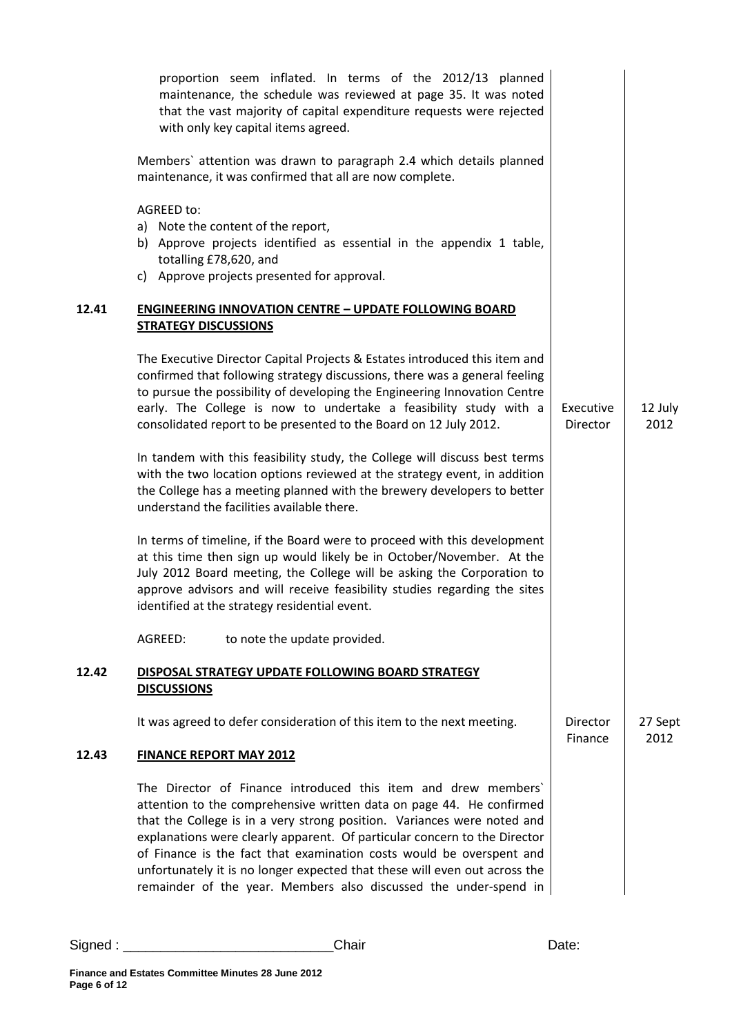|       | proportion seem inflated. In terms of the 2012/13 planned<br>maintenance, the schedule was reviewed at page 35. It was noted<br>that the vast majority of capital expenditure requests were rejected<br>with only key capital items agreed.                                                                                                                                                                                                                                                                              |                       |                 |
|-------|--------------------------------------------------------------------------------------------------------------------------------------------------------------------------------------------------------------------------------------------------------------------------------------------------------------------------------------------------------------------------------------------------------------------------------------------------------------------------------------------------------------------------|-----------------------|-----------------|
|       | Members' attention was drawn to paragraph 2.4 which details planned<br>maintenance, it was confirmed that all are now complete.                                                                                                                                                                                                                                                                                                                                                                                          |                       |                 |
|       | AGREED to:<br>a) Note the content of the report,<br>b) Approve projects identified as essential in the appendix 1 table,<br>totalling £78,620, and<br>c) Approve projects presented for approval.                                                                                                                                                                                                                                                                                                                        |                       |                 |
| 12.41 | <b>ENGINEERING INNOVATION CENTRE - UPDATE FOLLOWING BOARD</b><br><b>STRATEGY DISCUSSIONS</b>                                                                                                                                                                                                                                                                                                                                                                                                                             |                       |                 |
|       | The Executive Director Capital Projects & Estates introduced this item and<br>confirmed that following strategy discussions, there was a general feeling<br>to pursue the possibility of developing the Engineering Innovation Centre<br>early. The College is now to undertake a feasibility study with a<br>consolidated report to be presented to the Board on 12 July 2012.                                                                                                                                          | Executive<br>Director | 12 July<br>2012 |
|       | In tandem with this feasibility study, the College will discuss best terms<br>with the two location options reviewed at the strategy event, in addition<br>the College has a meeting planned with the brewery developers to better<br>understand the facilities available there.                                                                                                                                                                                                                                         |                       |                 |
|       | In terms of timeline, if the Board were to proceed with this development<br>at this time then sign up would likely be in October/November. At the<br>July 2012 Board meeting, the College will be asking the Corporation to<br>approve advisors and will receive feasibility studies regarding the sites<br>identified at the strategy residential event.                                                                                                                                                                |                       |                 |
|       | to note the update provided.<br>AGREED:                                                                                                                                                                                                                                                                                                                                                                                                                                                                                  |                       |                 |
| 12.42 | DISPOSAL STRATEGY UPDATE FOLLOWING BOARD STRATEGY<br><b>DISCUSSIONS</b>                                                                                                                                                                                                                                                                                                                                                                                                                                                  |                       |                 |
|       | It was agreed to defer consideration of this item to the next meeting.                                                                                                                                                                                                                                                                                                                                                                                                                                                   | Director<br>Finance   | 27 Sept<br>2012 |
| 12.43 | <b>FINANCE REPORT MAY 2012</b>                                                                                                                                                                                                                                                                                                                                                                                                                                                                                           |                       |                 |
|       | The Director of Finance introduced this item and drew members'<br>attention to the comprehensive written data on page 44. He confirmed<br>that the College is in a very strong position. Variances were noted and<br>explanations were clearly apparent. Of particular concern to the Director<br>of Finance is the fact that examination costs would be overspent and<br>unfortunately it is no longer expected that these will even out across the<br>remainder of the year. Members also discussed the under-spend in |                       |                 |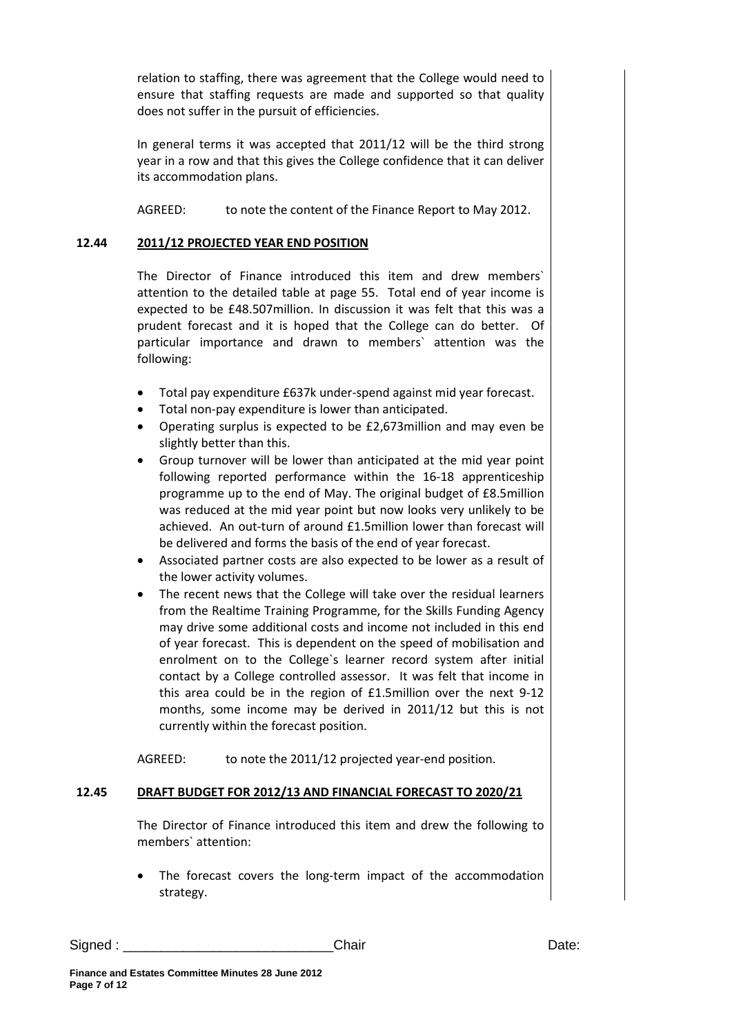relation to staffing, there was agreement that the College would need to ensure that staffing requests are made and supported so that quality does not suffer in the pursuit of efficiencies.

In general terms it was accepted that 2011/12 will be the third strong year in a row and that this gives the College confidence that it can deliver its accommodation plans.

AGREED: to note the content of the Finance Report to May 2012.

# **12.44 2011/12 PROJECTED YEAR END POSITION**

The Director of Finance introduced this item and drew members` attention to the detailed table at page 55. Total end of year income is expected to be £48.507million. In discussion it was felt that this was a prudent forecast and it is hoped that the College can do better. Of particular importance and drawn to members` attention was the following:

- Total pay expenditure £637k under-spend against mid year forecast.
- Total non-pay expenditure is lower than anticipated.
- Operating surplus is expected to be £2,673million and may even be slightly better than this.
- Group turnover will be lower than anticipated at the mid year point following reported performance within the 16-18 apprenticeship programme up to the end of May. The original budget of £8.5million was reduced at the mid year point but now looks very unlikely to be achieved. An out-turn of around £1.5million lower than forecast will be delivered and forms the basis of the end of year forecast.
- Associated partner costs are also expected to be lower as a result of the lower activity volumes.
- The recent news that the College will take over the residual learners from the Realtime Training Programme, for the Skills Funding Agency may drive some additional costs and income not included in this end of year forecast. This is dependent on the speed of mobilisation and enrolment on to the College`s learner record system after initial contact by a College controlled assessor. It was felt that income in this area could be in the region of £1.5million over the next 9-12 months, some income may be derived in 2011/12 but this is not currently within the forecast position.

AGREED: to note the 2011/12 projected year-end position.

# **12.45 DRAFT BUDGET FOR 2012/13 AND FINANCIAL FORECAST TO 2020/21**

The Director of Finance introduced this item and drew the following to members` attention:

The forecast covers the long-term impact of the accommodation strategy.

Signed : \_\_\_\_\_\_\_\_\_\_\_\_\_\_\_\_\_\_\_\_\_\_\_\_\_\_\_\_Chair Date: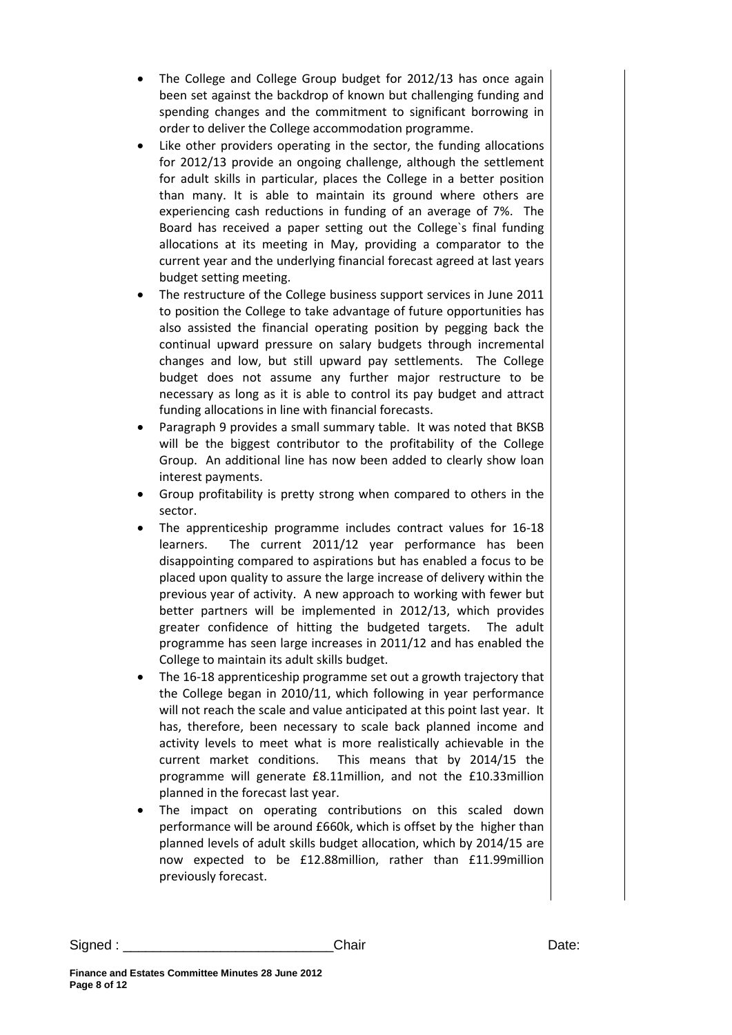- The College and College Group budget for 2012/13 has once again been set against the backdrop of known but challenging funding and spending changes and the commitment to significant borrowing in order to deliver the College accommodation programme.
- Like other providers operating in the sector, the funding allocations for 2012/13 provide an ongoing challenge, although the settlement for adult skills in particular, places the College in a better position than many. It is able to maintain its ground where others are experiencing cash reductions in funding of an average of 7%. The Board has received a paper setting out the College`s final funding allocations at its meeting in May, providing a comparator to the current year and the underlying financial forecast agreed at last years budget setting meeting.
- The restructure of the College business support services in June 2011 to position the College to take advantage of future opportunities has also assisted the financial operating position by pegging back the continual upward pressure on salary budgets through incremental changes and low, but still upward pay settlements. The College budget does not assume any further major restructure to be necessary as long as it is able to control its pay budget and attract funding allocations in line with financial forecasts.
- Paragraph 9 provides a small summary table. It was noted that BKSB will be the biggest contributor to the profitability of the College Group. An additional line has now been added to clearly show loan interest payments.
- Group profitability is pretty strong when compared to others in the sector.
- The apprenticeship programme includes contract values for 16-18 learners. The current 2011/12 year performance has been disappointing compared to aspirations but has enabled a focus to be placed upon quality to assure the large increase of delivery within the previous year of activity. A new approach to working with fewer but better partners will be implemented in 2012/13, which provides greater confidence of hitting the budgeted targets. The adult programme has seen large increases in 2011/12 and has enabled the College to maintain its adult skills budget.
- The 16-18 apprenticeship programme set out a growth trajectory that the College began in 2010/11, which following in year performance will not reach the scale and value anticipated at this point last year. It has, therefore, been necessary to scale back planned income and activity levels to meet what is more realistically achievable in the current market conditions. This means that by 2014/15 the programme will generate £8.11million, and not the £10.33million planned in the forecast last year.
- The impact on operating contributions on this scaled down performance will be around £660k, which is offset by the higher than planned levels of adult skills budget allocation, which by 2014/15 are now expected to be £12.88million, rather than £11.99million previously forecast.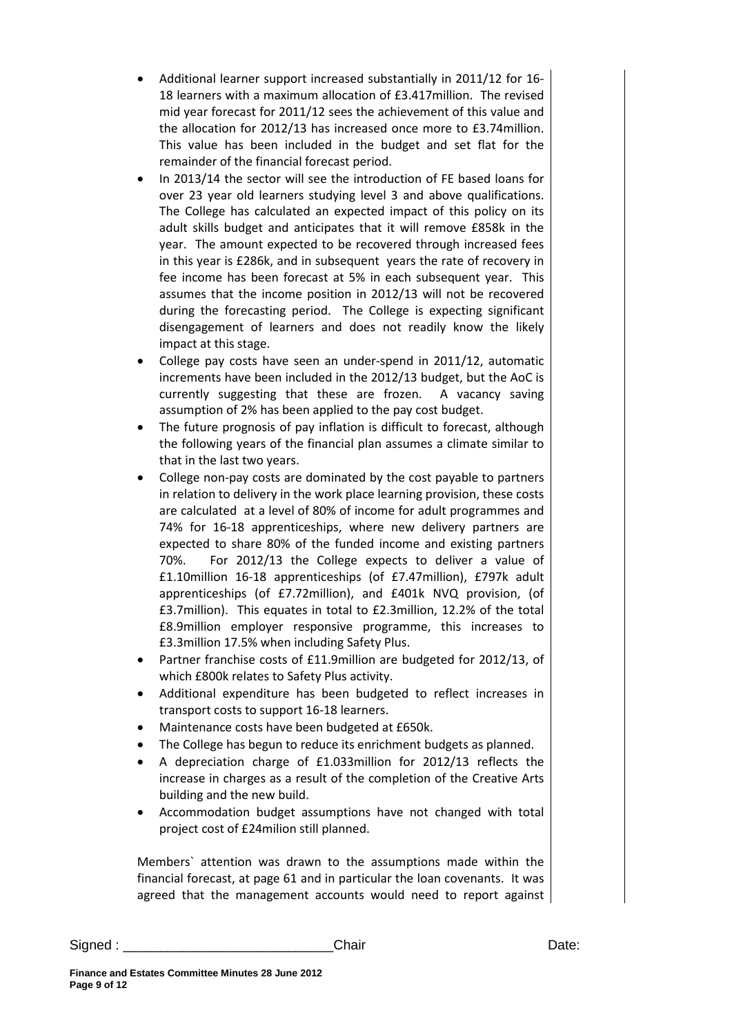- Additional learner support increased substantially in 2011/12 for 16- 18 learners with a maximum allocation of £3.417million. The revised mid year forecast for 2011/12 sees the achievement of this value and the allocation for 2012/13 has increased once more to £3.74million. This value has been included in the budget and set flat for the remainder of the financial forecast period.
- In 2013/14 the sector will see the introduction of FE based loans for over 23 year old learners studying level 3 and above qualifications. The College has calculated an expected impact of this policy on its adult skills budget and anticipates that it will remove £858k in the year. The amount expected to be recovered through increased fees in this year is £286k, and in subsequent years the rate of recovery in fee income has been forecast at 5% in each subsequent year. This assumes that the income position in 2012/13 will not be recovered during the forecasting period. The College is expecting significant disengagement of learners and does not readily know the likely impact at this stage.
- College pay costs have seen an under-spend in 2011/12, automatic increments have been included in the 2012/13 budget, but the AoC is currently suggesting that these are frozen. A vacancy saving assumption of 2% has been applied to the pay cost budget.
- The future prognosis of pay inflation is difficult to forecast, although the following years of the financial plan assumes a climate similar to that in the last two years.
- College non-pay costs are dominated by the cost payable to partners in relation to delivery in the work place learning provision, these costs are calculated at a level of 80% of income for adult programmes and 74% for 16-18 apprenticeships, where new delivery partners are expected to share 80% of the funded income and existing partners 70%. For 2012/13 the College expects to deliver a value of £1.10million 16-18 apprenticeships (of £7.47million), £797k adult apprenticeships (of £7.72million), and £401k NVQ provision, (of £3.7million). This equates in total to £2.3million, 12.2% of the total £8.9million employer responsive programme, this increases to £3.3million 17.5% when including Safety Plus.
- Partner franchise costs of £11.9million are budgeted for 2012/13, of which £800k relates to Safety Plus activity.
- Additional expenditure has been budgeted to reflect increases in transport costs to support 16-18 learners.
- Maintenance costs have been budgeted at £650k.
- The College has begun to reduce its enrichment budgets as planned.
- A depreciation charge of £1.033million for 2012/13 reflects the increase in charges as a result of the completion of the Creative Arts building and the new build.
- Accommodation budget assumptions have not changed with total project cost of £24milion still planned.

Members` attention was drawn to the assumptions made within the financial forecast, at page 61 and in particular the loan covenants. It was agreed that the management accounts would need to report against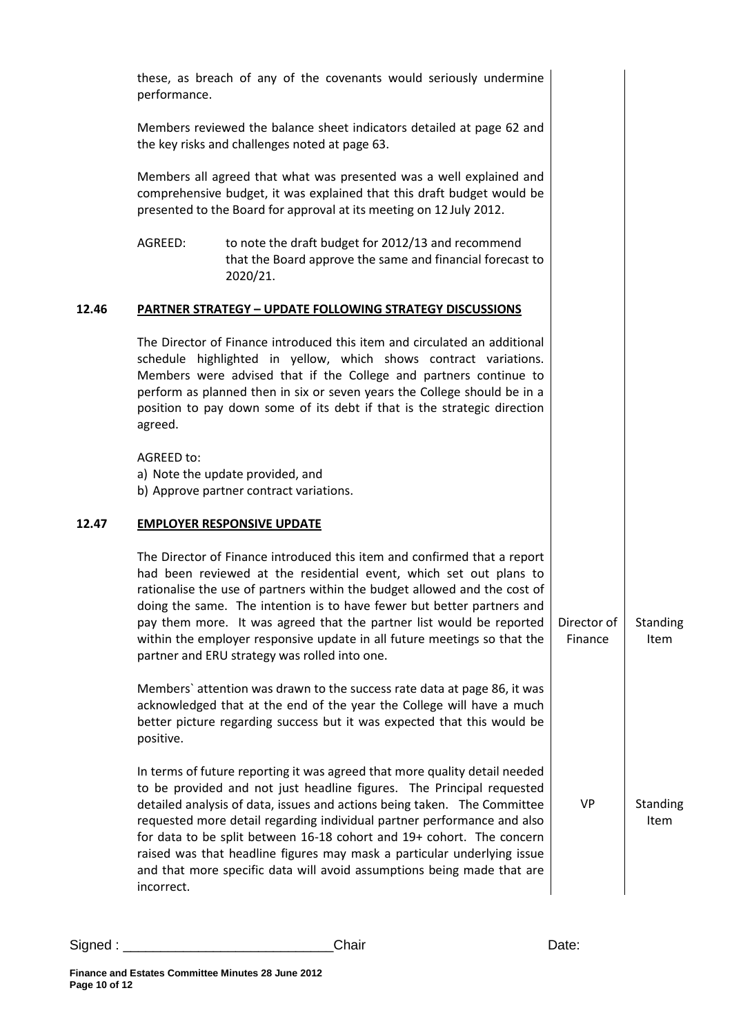|       | performance. | these, as breach of any of the covenants would seriously undermine                                                                                                                                                                                                                                                                                                                                                                                                                                                                       |                        |                  |
|-------|--------------|------------------------------------------------------------------------------------------------------------------------------------------------------------------------------------------------------------------------------------------------------------------------------------------------------------------------------------------------------------------------------------------------------------------------------------------------------------------------------------------------------------------------------------------|------------------------|------------------|
|       |              | Members reviewed the balance sheet indicators detailed at page 62 and<br>the key risks and challenges noted at page 63.                                                                                                                                                                                                                                                                                                                                                                                                                  |                        |                  |
|       |              | Members all agreed that what was presented was a well explained and<br>comprehensive budget, it was explained that this draft budget would be<br>presented to the Board for approval at its meeting on 12 July 2012.                                                                                                                                                                                                                                                                                                                     |                        |                  |
|       | AGREED:      | to note the draft budget for 2012/13 and recommend<br>that the Board approve the same and financial forecast to<br>2020/21.                                                                                                                                                                                                                                                                                                                                                                                                              |                        |                  |
| 12.46 |              | <b>PARTNER STRATEGY - UPDATE FOLLOWING STRATEGY DISCUSSIONS</b>                                                                                                                                                                                                                                                                                                                                                                                                                                                                          |                        |                  |
|       | agreed.      | The Director of Finance introduced this item and circulated an additional<br>schedule highlighted in yellow, which shows contract variations.<br>Members were advised that if the College and partners continue to<br>perform as planned then in six or seven years the College should be in a<br>position to pay down some of its debt if that is the strategic direction                                                                                                                                                               |                        |                  |
|       | AGREED to:   | a) Note the update provided, and<br>b) Approve partner contract variations.                                                                                                                                                                                                                                                                                                                                                                                                                                                              |                        |                  |
| 12.47 |              | <b>EMPLOYER RESPONSIVE UPDATE</b>                                                                                                                                                                                                                                                                                                                                                                                                                                                                                                        |                        |                  |
|       |              | The Director of Finance introduced this item and confirmed that a report<br>had been reviewed at the residential event, which set out plans to<br>rationalise the use of partners within the budget allowed and the cost of<br>doing the same. The intention is to have fewer but better partners and<br>pay them more. It was agreed that the partner list would be reported<br>within the employer responsive update in all future meetings so that the<br>partner and ERU strategy was rolled into one.                               | Director of<br>Finance | Standing<br>Item |
|       | positive.    | Members' attention was drawn to the success rate data at page 86, it was<br>acknowledged that at the end of the year the College will have a much<br>better picture regarding success but it was expected that this would be                                                                                                                                                                                                                                                                                                             |                        |                  |
|       | incorrect.   | In terms of future reporting it was agreed that more quality detail needed<br>to be provided and not just headline figures. The Principal requested<br>detailed analysis of data, issues and actions being taken. The Committee<br>requested more detail regarding individual partner performance and also<br>for data to be split between 16-18 cohort and 19+ cohort. The concern<br>raised was that headline figures may mask a particular underlying issue<br>and that more specific data will avoid assumptions being made that are | <b>VP</b>              | Standing<br>Item |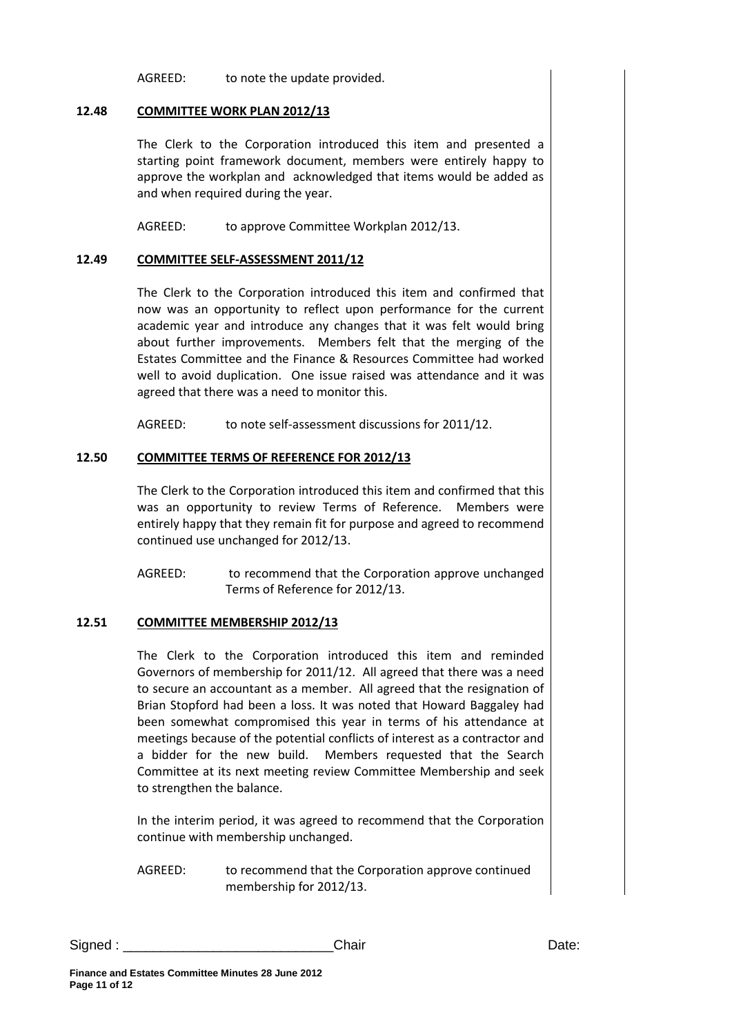AGREED: to note the update provided.

### **12.48 COMMITTEE WORK PLAN 2012/13**

The Clerk to the Corporation introduced this item and presented a starting point framework document, members were entirely happy to approve the workplan and acknowledged that items would be added as and when required during the year.

AGREED: to approve Committee Workplan 2012/13.

#### **12.49 COMMITTEE SELF-ASSESSMENT 2011/12**

The Clerk to the Corporation introduced this item and confirmed that now was an opportunity to reflect upon performance for the current academic year and introduce any changes that it was felt would bring about further improvements. Members felt that the merging of the Estates Committee and the Finance & Resources Committee had worked well to avoid duplication. One issue raised was attendance and it was agreed that there was a need to monitor this.

AGREED: to note self-assessment discussions for 2011/12.

### **12.50 COMMITTEE TERMS OF REFERENCE FOR 2012/13**

The Clerk to the Corporation introduced this item and confirmed that this was an opportunity to review Terms of Reference. Members were entirely happy that they remain fit for purpose and agreed to recommend continued use unchanged for 2012/13.

AGREED: to recommend that the Corporation approve unchanged Terms of Reference for 2012/13.

### **12.51 COMMITTEE MEMBERSHIP 2012/13**

The Clerk to the Corporation introduced this item and reminded Governors of membership for 2011/12. All agreed that there was a need to secure an accountant as a member. All agreed that the resignation of Brian Stopford had been a loss. It was noted that Howard Baggaley had been somewhat compromised this year in terms of his attendance at meetings because of the potential conflicts of interest as a contractor and a bidder for the new build. Members requested that the Search Committee at its next meeting review Committee Membership and seek to strengthen the balance.

In the interim period, it was agreed to recommend that the Corporation continue with membership unchanged.

AGREED: to recommend that the Corporation approve continued membership for 2012/13.